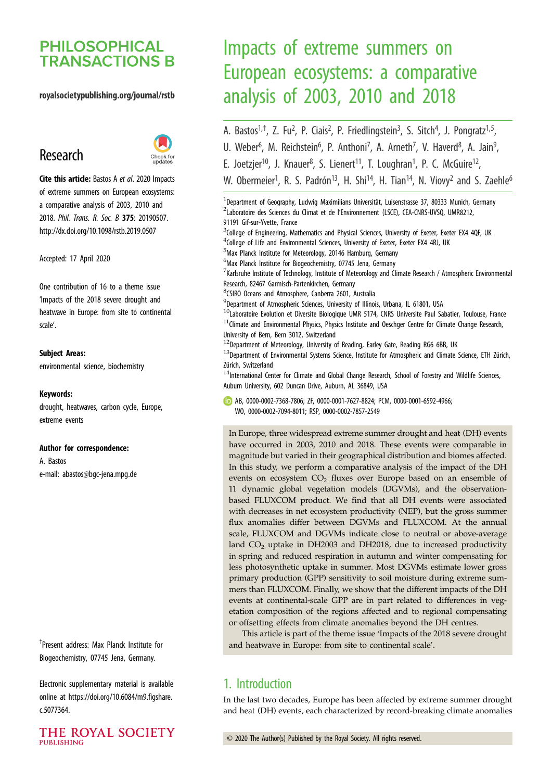# **PHILOSOPHICAL TRANSACTIONS B**

## royalsocietypublishing.org/journal/rstb

# Research



Cite this article: Bastos A et al. 2020 Impacts of extreme summers on European ecosystems: a comparative analysis of 2003, 2010 and 2018. Phil. Trans. R. Soc. B 375: 20190507. http://dx.doi.org/10.1098/rstb.2019.0507

Accepted: 17 April 2020

One contribution of 16 to a theme issue '[Impacts of the 2018 severe drought and](http://dx.doi.org/10.1098/rstb/375/1810) [heatwave in Europe: from site to continental](http://dx.doi.org/10.1098/rstb/375/1810) [scale](http://dx.doi.org/10.1098/rstb/375/1810)'.

#### Subject Areas:

environmental science, biochemistry

#### Keywords:

drought, heatwaves, carbon cycle, Europe, extreme events

#### Author for correspondence:

A. Bastos e-mail: [abastos@bgc-jena.mpg.de](mailto:abastos@bgc-jena.mpg.de)

† Present address: Max Planck Institute for Biogeochemistry, 07745 Jena, Germany.

Electronic supplementary material is available online at [https://doi.org/10.6084/m9.figshare.](https://doi.org/10.6084/m9.figshare.c.5077364) [c.5077364.](https://doi.org/10.6084/m9.figshare.c.5077364)

THE ROYAL SOCIETY **PUBLISHING** 

# Impacts of extreme summers on European ecosystems: a comparative analysis of 2003, 2010 and 2018

- A. Bastos<sup>1,†</sup>, Z. Fu<sup>2</sup>, P. Ciais<sup>2</sup>, P. Friedlingstein<sup>3</sup>, S. Sitch<sup>4</sup>, J. Pongratz<sup>1,5</sup>,
- U. Weber<sup>6</sup>, M. Reichstein<sup>6</sup>, P. Anthoni<sup>7</sup>, A. Arneth<sup>7</sup>, V. Haverd<sup>8</sup>, A. Jain<sup>9</sup> ا<br>ر
- E. Joetzjer<sup>10</sup>, J. Knauer<sup>8</sup>, S. Lienert<sup>11</sup>, T. Loughran<sup>1</sup>, P. C. McGuire<sup>12</sup>,

W. Obermeier<sup>1</sup>, R. S. Padrón<sup>13</sup>, H. Shi<sup>14</sup>, H. Tian<sup>14</sup>, N. Viovy<sup>2</sup> and S. Zaehle<sup>6</sup>

<sup>1</sup>Department of Geography, Ludwig Maximilians Universität, Luisenstrasse 37, 80333 Munich, Germany <sup>2</sup>Laboratoire des Sciences du Climat et de l'Environnement (LSCE), CEA-CNRS-UVSQ, UMR8212, 91191 Gif-sur-Yvette, France <sup>3</sup>College of Engineering, Mathematics and Physical Sciences, University of Exeter, Exeter EX4 4QF, UK <sup>4</sup>College of Life and Environmental Sciences, University of Exeter, Exeter EX4 4RJ, UK 5 Max Planck Institute for Meteorology, 20146 Hamburg, Germany <sup>6</sup>Max Planck Institute for Biogeochemistry, 07745 Jena, Germany  $^7$ Karlsruhe Institute of Technology, Institute of Meteorology and Climate Research / Atmospheric Environmental Research, 82467 Garmisch-Partenkirchen, Germany 8 CSIRO Oceans and Atmosphere, Canberra 2601, Australia <sup>9</sup>Department of Atmospheric Sciences, University of Illinois, Urbana, IL 61801, USA <sup>10</sup>Laboratoire Evolution et Diversite Biologique UMR 5174, CNRS Universite Paul Sabatier, Toulouse, France <sup>11</sup>Climate and Environmental Physics, Physics Institute and Oeschger Centre for Climate Change Research, University of Bern, Bern 3012, Switzerland  $^{12}$ Department of Meteorology, University of Reading, Earley Gate, Reading RG6 6BB, UK <sup>13</sup>Department of Environmental Systems Science, Institute for Atmospheric and Climate Science, ETH Zürich, Zürich, Switzerland

 $14$ International Center for Climate and Global Change Research, School of Forestry and Wildlife Sciences, Auburn University, 602 Duncan Drive, Auburn, AL 36849, USA

AB, [0000-0002-7368-7806](http://orcid.org/0000-0002-7368-7806); ZF, [0000-0001-7627-8824](http://orcid.org/0000-0001-7627-8824); PCM, [0000-0001-6592-4966](http://orcid.org/0000-0001-6592-4966); WO, [0000-0002-7094-8011](http://orcid.org/0000-0002-7094-8011); RSP, [0000-0002-7857-2549](http://orcid.org/0000-0002-7857-2549)

In Europe, three widespread extreme summer drought and heat (DH) events have occurred in 2003, 2010 and 2018. These events were comparable in magnitude but varied in their geographical distribution and biomes affected. In this study, we perform a comparative analysis of the impact of the DH events on ecosystem  $CO<sub>2</sub>$  fluxes over Europe based on an ensemble of 11 dynamic global vegetation models (DGVMs), and the observationbased FLUXCOM product. We find that all DH events were associated with decreases in net ecosystem productivity (NEP), but the gross summer flux anomalies differ between DGVMs and FLUXCOM. At the annual scale, FLUXCOM and DGVMs indicate close to neutral or above-average land  $CO<sub>2</sub>$  uptake in DH2003 and DH2018, due to increased productivity in spring and reduced respiration in autumn and winter compensating for less photosynthetic uptake in summer. Most DGVMs estimate lower gross primary production (GPP) sensitivity to soil moisture during extreme summers than FLUXCOM. Finally, we show that the different impacts of the DH events at continental-scale GPP are in part related to differences in vegetation composition of the regions affected and to regional compensating or offsetting effects from climate anomalies beyond the DH centres.

This article is part of the theme issue 'Impacts of the 2018 severe drought and heatwave in Europe: from site to continental scale'.

# 1. Introduction

In the last two decades, Europe has been affected by extreme summer drought and heat (DH) events, each characterized by record-breaking climate anomalies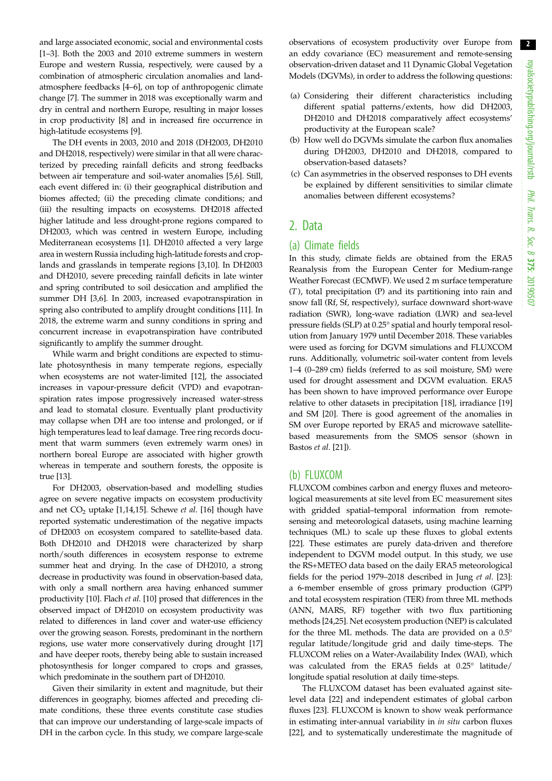and large associated economic, social and environmental costs [\[1](#page-7-0)–[3\]](#page-8-0). Both the 2003 and 2010 extreme summers in western Europe and western Russia, respectively, were caused by a combination of atmospheric circulation anomalies and landatmosphere feedbacks [\[4](#page-8-0)–[6](#page-8-0)], on top of anthropogenic climate change [[7](#page-8-0)]. The summer in 2018 was exceptionally warm and dry in central and northern Europe, resulting in major losses in crop productivity [[8](#page-8-0)] and in increased fire occurrence in high-latitude ecosystems [[9](#page-8-0)].

The DH events in 2003, 2010 and 2018 (DH2003, DH2010 and DH2018, respectively) were similar in that all were characterized by preceding rainfall deficits and strong feedbacks between air temperature and soil-water anomalies [\[5](#page-8-0),[6](#page-8-0)]. Still, each event differed in: (i) their geographical distribution and biomes affected; (ii) the preceding climate conditions; and (iii) the resulting impacts on ecosystems. DH2018 affected higher latitude and less drought-prone regions compared to DH2003, which was centred in western Europe, including Mediterranean ecosystems [\[1](#page-7-0)]. DH2010 affected a very large area in western Russia including high-latitude forests and croplands and grasslands in temperate regions [\[3,10](#page-8-0)]. In DH2003 and DH2010, severe preceding rainfall deficits in late winter and spring contributed to soil desiccation and amplified the summer DH [\[3,6](#page-8-0)]. In 2003, increased evapotranspiration in spring also contributed to amplify drought conditions [\[11\]](#page-8-0). In 2018, the extreme warm and sunny conditions in spring and concurrent increase in evapotranspiration have contributed significantly to amplify the summer drought.

While warm and bright conditions are expected to stimulate photosynthesis in many temperate regions, especially when ecosystems are not water-limited [\[12](#page-8-0)], the associated increases in vapour-pressure deficit (VPD) and evapotranspiration rates impose progressively increased water-stress and lead to stomatal closure. Eventually plant productivity may collapse when DH are too intense and prolonged, or if high temperatures lead to leaf damage. Tree ring records document that warm summers (even extremely warm ones) in northern boreal Europe are associated with higher growth whereas in temperate and southern forests, the opposite is true [[13\]](#page-8-0).

For DH2003, observation-based and modelling studies agree on severe negative impacts on ecosystem productivity and net  $CO<sub>2</sub>$  uptake [\[1,](#page-7-0)[14,15\]](#page-8-0). Schewe et al. [\[16\]](#page-8-0) though have reported systematic underestimation of the negative impacts of DH2003 on ecosystem compared to satellite-based data. Both DH2010 and DH2018 were characterized by sharp north/south differences in ecosystem response to extreme summer heat and drying. In the case of DH2010, a strong decrease in productivity was found in observation-based data, with only a small northern area having enhanced summer productivity [[10\]](#page-8-0). Flach et al. [\[10](#page-8-0)] prosed that differences in the observed impact of DH2010 on ecosystem productivity was related to differences in land cover and water-use efficiency over the growing season. Forests, predominant in the northern regions, use water more conservatively during drought [[17\]](#page-8-0) and have deeper roots, thereby being able to sustain increased photosynthesis for longer compared to crops and grasses, which predominate in the southern part of DH2010.

Given their similarity in extent and magnitude, but their differences in geography, biomes affected and preceding climate conditions, these three events constitute case studies that can improve our understanding of large-scale impacts of DH in the carbon cycle. In this study, we compare large-scale

observations of ecosystem productivity over Europe from an eddy covariance (EC) measurement and remote-sensing observation-driven dataset and 11 Dynamic Global Vegetation Models (DGVMs), in order to address the following questions:

- (a) Considering their different characteristics including different spatial patterns/extents, how did DH2003, DH2010 and DH2018 comparatively affect ecosystems' productivity at the European scale?
- (b) How well do DGVMs simulate the carbon flux anomalies during DH2003, DH2010 and DH2018, compared to observation-based datasets?
- (c) Can asymmetries in the observed responses to DH events be explained by different sensitivities to similar climate anomalies between different ecosystems?

## 2. Data

#### (a) Climate fields

In this study, climate fields are obtained from the ERA5 Reanalysis from the European Center for Medium-range Weather Forecast (ECMWF). We used 2 m surface temperature (T), total precipitation (P) and its partitioning into rain and snow fall (Rf, Sf, respectively), surface downward short-wave radiation (SWR), long-wave radiation (LWR) and sea-level pressure fields (SLP) at 0.25° spatial and hourly temporal resolution from January 1979 until December 2018. These variables were used as forcing for DGVM simulations and FLUXCOM runs. Additionally, volumetric soil-water content from levels 1–4 (0–289 cm) fields (referred to as soil moisture, SM) were used for drought assessment and DGVM evaluation. ERA5 has been shown to have improved performance over Europe relative to other datasets in precipitation [[18\]](#page-8-0), irradiance [[19\]](#page-8-0) and SM [[20\]](#page-8-0). There is good agreement of the anomalies in SM over Europe reported by ERA5 and microwave satellitebased measurements from the SMOS sensor (shown in Bastos et al. [[21\]](#page-8-0)).

#### (b) FLUXCOM

FLUXCOM combines carbon and energy fluxes and meteorological measurements at site level from EC measurement sites with gridded spatial–temporal information from remotesensing and meteorological datasets, using machine learning techniques (ML) to scale up these fluxes to global extents [[22\]](#page-8-0). These estimates are purely data-driven and therefore independent to DGVM model output. In this study, we use the RS+METEO data based on the daily ERA5 meteorological fields for the period 1979–2018 described in Jung et al. [[23\]](#page-8-0): a 6-member ensemble of gross primary production (GPP) and total ecosystem respiration (TER) from three ML methods (ANN, MARS, RF) together with two flux partitioning methods [\[24,25](#page-8-0)]. Net ecosystem production (NEP) is calculated for the three ML methods. The data are provided on a 0.5° regular latitude/longitude grid and daily time-steps. The FLUXCOM relies on a Water-Availability Index (WAI), which was calculated from the ERA5 fields at 0.25° latitude/ longitude spatial resolution at daily time-steps.

The FLUXCOM dataset has been evaluated against sitelevel data [[22\]](#page-8-0) and independent estimates of global carbon fluxes [[23\]](#page-8-0). FLUXCOM is known to show weak performance in estimating inter-annual variability in in situ carbon fluxes [[22\]](#page-8-0), and to systematically underestimate the magnitude of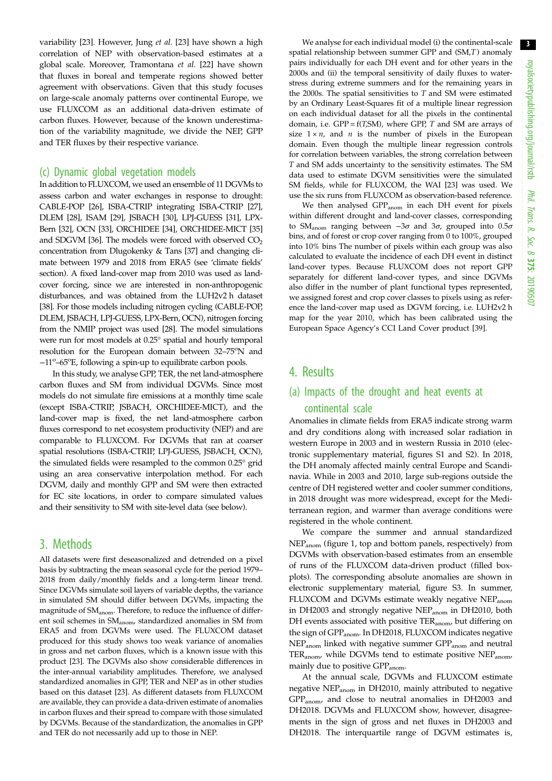variability [[23\]](#page-8-0). However, Jung et al. [\[23](#page-8-0)] have shown a high correlation of NEP with observation-based estimates at a global scale. Moreover, Tramontana et al. [\[22](#page-8-0)] have shown that fluxes in boreal and temperate regions showed better agreement with observations. Given that this study focuses on large-scale anomaly patterns over continental Europe, we use FLUXCOM as an additional data-driven estimate of carbon fluxes. However, because of the known underestimation of the variability magnitude, we divide the NEP, GPP and TER fluxes by their respective variance.

#### (c) Dynamic global vegetation models

In addition to FLUXCOM, we used an ensemble of 11 DGVMs to assess carbon and water exchanges in response to drought: CABLE-POP [\[26](#page-8-0)], ISBA-CTRIP integrating ISBA-CTRIP [[27](#page-8-0)], DLEM [\[28\]](#page-8-0), ISAM [\[29](#page-8-0)], JSBACH [[30](#page-8-0)], LPJ-GUESS [[31](#page-8-0)], LPX-Bern [\[32\]](#page-8-0), OCN [\[33\]](#page-8-0), ORCHIDEE [[34](#page-8-0)], ORCHIDEE-MICT [\[35\]](#page-8-0) and SDGVM [\[36\]](#page-8-0). The models were forced with observed  $CO<sub>2</sub>$ concentration from Dlugokenky & Tans [[37](#page-8-0)] and changing climate between 1979 and 2018 from ERA5 (see 'climate fields' section). A fixed land-cover map from 2010 was used as landcover forcing, since we are interested in non-anthropogenic disturbances, and was obtained from the LUH2v2 h dataset [\[38\]](#page-8-0). For those models including nitrogen cycling (CABLE-POP, DLEM, JSBACH, LPJ-GUESS, LPX-Bern, OCN), nitrogen forcing from the NMIP project was used [[28](#page-8-0)]. The model simulations were run for most models at 0.25° spatial and hourly temporal resolution for the European domain between 32-75°N and −11<sup>o</sup>-65<sup>o</sup>E, following a spin-up to equilibrate carbon pools.

In this study, we analyse GPP, TER, the net land-atmosphere carbon fluxes and SM from individual DGVMs. Since most models do not simulate fire emissions at a monthly time scale (except ISBA-CTRIP, JSBACH, ORCHIDEE-MICT), and the land-cover map is fixed, the net land-atmosphere carbon fluxes correspond to net ecosystem productivity (NEP) and are comparable to FLUXCOM. For DGVMs that ran at coarser spatial resolutions (ISBA-CTRIP, LPJ-GUESS, JSBACH, OCN), the simulated fields were resampled to the common 0.25° grid using an area conservative interpolation method. For each DGVM, daily and monthly GPP and SM were then extracted for EC site locations, in order to compare simulated values and their sensitivity to SM with site-level data (see below).

## 3. Methods

All datasets were first deseasonalized and detrended on a pixel basis by subtracting the mean seasonal cycle for the period 1979– 2018 from daily/monthly fields and a long-term linear trend. Since DGVMs simulate soil layers of variable depths, the variance in simulated SM should differ between DGVMs, impacting the magnitude of SM<sub>anom</sub>. Therefore, to reduce the influence of different soil schemes in SM<sub>anom</sub>, standardized anomalies in SM from ERA5 and from DGVMs were used. The FLUXCOM dataset produced for this study shows too weak variance of anomalies in gross and net carbon fluxes, which is a known issue with this product [[23](#page-8-0)]. The DGVMs also show considerable differences in the inter-annual variability amplitudes. Therefore, we analysed standardized anomalies in GPP, TER and NEP as in other studies based on this dataset [\[23\]](#page-8-0). As different datasets from FLUXCOM are available, they can provide a data-driven estimate of anomalies in carbon fluxes and their spread to compare with those simulated by DGVMs. Because of the standardization, the anomalies in GPP and TER do not necessarily add up to those in NEP.

We analyse for each individual model (i) the continental-scale spatial relationship between summer GPP and (SM,T) anomaly pairs individually for each DH event and for other years in the 2000s and (ii) the temporal sensitivity of daily fluxes to waterstress during extreme summers and for the remaining years in the 2000s. The spatial sensitivities to  $T$  and SM were estimated by an Ordinary Least-Squares fit of a multiple linear regression on each individual dataset for all the pixels in the continental domain, i.e.  $GPP = f(T, SM)$ , where  $GPP$ , T and SM are arrays of size  $1 \times n$ , and *n* is the number of pixels in the European domain. Even though the multiple linear regression controls for correlation between variables, the strong correlation between T and SM adds uncertainty to the sensitivity estimates. The SM data used to estimate DGVM sensitivities were the simulated SM fields, while for FLUXCOM, the WAI [[23](#page-8-0)] was used. We use the six runs from FLUXCOM as observation-based reference.

We then analysed GPP<sub>anom</sub> in each DH event for pixels within different drought and land-cover classes, corresponding to SM<sub>anom</sub> ranging between  $-3\sigma$  and  $3\sigma$ , grouped into  $0.5\sigma$ bins, and of forest or crop cover ranging from 0 to 100%, grouped into 10% bins The number of pixels within each group was also calculated to evaluate the incidence of each DH event in distinct land-cover types. Because FLUXCOM does not report GPP separately for different land-cover types, and since DGVMs also differ in the number of plant functional types represented, we assigned forest and crop cover classes to pixels using as reference the land-cover map used as DGVM forcing, i.e. LUH2v2 h map for the year 2010, which has been calibrated using the European Space Agency's CCI Land Cover product [\[39\]](#page-8-0).

## 4. Results

# (a) Impacts of the drought and heat events at continental scale

Anomalies in climate fields from ERA5 indicate strong warm and dry conditions along with increased solar radiation in western Europe in 2003 and in western Russia in 2010 (electronic supplementary material, figures S1 and S2). In 2018, the DH anomaly affected mainly central Europe and Scandinavia. While in 2003 and 2010, large sub-regions outside the centre of DH registered wetter and cooler summer conditions, in 2018 drought was more widespread, except for the Mediterranean region, and warmer than average conditions were registered in the whole continent.

We compare the summer and annual standardized NEPanom [\(figure 1,](#page-3-0) top and bottom panels, respectively) from DGVMs with observation-based estimates from an ensemble of runs of the FLUXCOM data-driven product (filled boxplots). The corresponding absolute anomalies are shown in electronic supplementary material, figure S3. In summer, FLUXCOM and DGVMs estimate weakly negative NEP<sub>anom</sub> in DH2003 and strongly negative NEP<sub>anom</sub> in DH2010, both DH events associated with positive  $TER_{anom}$ , but differing on the sign of GPP<sub>anom</sub>. In DH2018, FLUXCOM indicates negative NEP<sub>anom</sub> linked with negative summer GPP<sub>anom</sub> and neutral TER<sub>anom</sub>, while DGVMs tend to estimate positive NEP<sub>anom</sub> mainly due to positive GPP<sub>anom</sub>.

At the annual scale, DGVMs and FLUXCOM estimate negative NEPanom in DH2010, mainly attributed to negative GPPanom, and close to neutral anomalies in DH2003 and DH2018. DGVMs and FLUXCOM show, however, disagreements in the sign of gross and net fluxes in DH2003 and DH2018. The interquartile range of DGVM estimates is,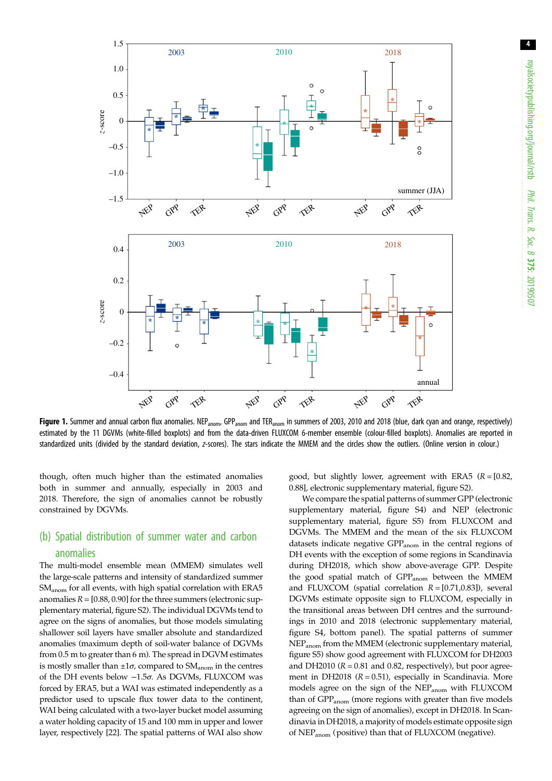<span id="page-3-0"></span>

Figure 1. Summer and annual carbon flux anomalies. NEP<sub>anom</sub>, GPP<sub>anom</sub> and TER<sub>anom</sub> in summers of 2003, 2010 and 2018 (blue, dark cyan and orange, respectively) estimated by the 11 DGVMs (white-filled boxplots) and from the data-driven FLUXCOM 6-member ensemble (colour-filled boxplots). Anomalies are reported in standardized units (divided by the standard deviation, z-scores). The stars indicate the MMEM and the circles show the outliers. (Online version in colour.)

though, often much higher than the estimated anomalies both in summer and annually, especially in 2003 and 2018. Therefore, the sign of anomalies cannot be robustly constrained by DGVMs.

# (b) Spatial distribution of summer water and carbon anomalies

The multi-model ensemble mean (MMEM) simulates well the large-scale patterns and intensity of standardized summer SM<sub>anom</sub> for all events, with high spatial correlation with ERA5 anomalies  $R = [0.88, 0.90]$  for the three summers (electronic supplementary material, figure S2). The individual DGVMs tend to agree on the signs of anomalies, but those models simulating shallower soil layers have smaller absolute and standardized anomalies (maximum depth of soil-water balance of DGVMs from 0.5 m to greater than 6 m). The spread in DGVM estimates is mostly smaller than  $\pm 1\sigma$ , compared to SM<sub>anom</sub> in the centres of the DH events below −1.5σ. As DGVMs, FLUXCOM was forced by ERA5, but a WAI was estimated independently as a predictor used to upscale flux tower data to the continent, WAI being calculated with a two-layer bucket model assuming a water holding capacity of 15 and 100 mm in upper and lower layer, respectively [\[22\]](#page-8-0). The spatial patterns of WAI also show good, but slightly lower, agreement with ERA5  $(R = [0.82,$ 0.88], electronic supplementary material, figure S2).

We compare the spatial patterns of summer GPP (electronic supplementary material, figure S4) and NEP (electronic supplementary material, figure S5) from FLUXCOM and DGVMs. The MMEM and the mean of the six FLUXCOM datasets indicate negative  $GPP_{\text{anom}}$  in the central regions of DH events with the exception of some regions in Scandinavia during DH2018, which show above-average GPP. Despite the good spatial match of GPP<sub>anom</sub> between the MMEM and FLUXCOM (spatial correlation  $R = [0.71, 0.83]$ ), several DGVMs estimate opposite sign to FLUXCOM, especially in the transitional areas between DH centres and the surroundings in 2010 and 2018 (electronic supplementary material, figure S4, bottom panel). The spatial patterns of summer NEPanom from the MMEM (electronic supplementary material, figure S5) show good agreement with FLUXCOM for DH2003 and DH2010 ( $R = 0.81$  and 0.82, respectively), but poor agreement in DH2018 ( $R = 0.51$ ), especially in Scandinavia. More models agree on the sign of the NEPanom with FLUXCOM than of GPP<sub>anom</sub> (more regions with greater than five models agreeing on the sign of anomalies), except in DH2018. In Scandinavia in DH2018, a majority of models estimate opposite sign of NEPanom (positive) than that of FLUXCOM (negative).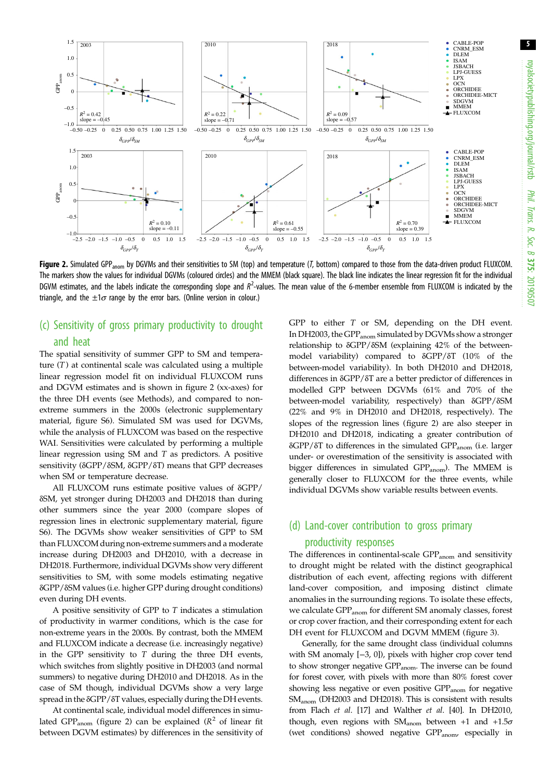<span id="page-4-0"></span>

Figure 2. Simulated GPP<sub>anom</sub> by DGVMs and their sensitivities to SM (top) and temperature (T, bottom) compared to those from the data-driven product FLUXCOM. The markers show the values for individual DGVMs (coloured circles) and the MMEM (black square). The black line indicates the linear regression fit for the individual DGVM estimates, and the labels indicate the corresponding slope and  $R^2$ -values. The mean value of the 6-member ensemble from FLUXCOM is indicated by the triangle, and the  $\pm 1\sigma$  range by the error bars. (Online version in colour.)

## (c) Sensitivity of gross primary productivity to drought and heat

The spatial sensitivity of summer GPP to SM and temperature  $(T)$  at continental scale was calculated using a multiple linear regression model fit on individual FLUXCOM runs and DGVM estimates and is shown in figure 2 (xx-axes) for the three DH events (see Methods), and compared to nonextreme summers in the 2000s (electronic supplementary material, figure S6). Simulated SM was used for DGVMs, while the analysis of FLUXCOM was based on the respective WAI. Sensitivities were calculated by performing a multiple linear regression using SM and T as predictors. A positive sensitivity (δGPP/δSM, δGPP/δT) means that GPP decreases when SM or temperature decrease.

All FLUXCOM runs estimate positive values of δGPP/ δSM, yet stronger during DH2003 and DH2018 than during other summers since the year 2000 (compare slopes of regression lines in electronic supplementary material, figure S6). The DGVMs show weaker sensitivities of GPP to SM than FLUXCOM during non-extreme summers and a moderate increase during DH2003 and DH2010, with a decrease in DH2018. Furthermore, individual DGVMs show very different sensitivities to SM, with some models estimating negative δGPP/δSM values (i.e. higher GPP during drought conditions) even during DH events.

A positive sensitivity of GPP to T indicates a stimulation of productivity in warmer conditions, which is the case for non-extreme years in the 2000s. By contrast, both the MMEM and FLUXCOM indicate a decrease (i.e. increasingly negative) in the GPP sensitivity to  $T$  during the three DH events, which switches from slightly positive in DH2003 (and normal summers) to negative during DH2010 and DH2018. As in the case of SM though, individual DGVMs show a very large spread in the δGPP/δT values, especially during the DH events.

At continental scale, individual model differences in simulated GPP<sub>anom</sub> (figure 2) can be explained ( $R^2$  of linear fit between DGVM estimates) by differences in the sensitivity of GPP to either T or SM, depending on the DH event. In DH2003, the GPP<sub>anom</sub> simulated by DGVMs show a stronger relationship to δGPP/δSM (explaining 42% of the betweenmodel variability) compared to δGPP/δT (10% of the between-model variability). In both DH2010 and DH2018, differences in δGPP/δT are a better predictor of differences in modelled GPP between DGVMs (61% and 70% of the between-model variability, respectively) than δGPP/δSM (22% and 9% in DH2010 and DH2018, respectively). The slopes of the regression lines (figure 2) are also steeper in DH2010 and DH2018, indicating a greater contribution of δGPP/δT to differences in the simulated GPPanom (i.e. larger under- or overestimation of the sensitivity is associated with bigger differences in simulated GPP<sub>anom</sub>). The MMEM is generally closer to FLUXCOM for the three events, while individual DGVMs show variable results between events.

# (d) Land-cover contribution to gross primary productivity responses

The differences in continental-scale GPP<sub>anom</sub> and sensitivity to drought might be related with the distinct geographical distribution of each event, affecting regions with different land-cover composition, and imposing distinct climate anomalies in the surrounding regions. To isolate these effects, we calculate GPP<sub>anom</sub> for different SM anomaly classes, forest or crop cover fraction, and their corresponding extent for each DH event for FLUXCOM and DGVM MMEM [\(figure 3](#page-5-0)).

Generally, for the same drought class (individual columns with SM anomaly [−3, 0]), pixels with higher crop cover tend to show stronger negative GPP<sub>anom</sub>. The inverse can be found for forest cover, with pixels with more than 80% forest cover showing less negative or even positive GPP<sub>anom</sub> for negative SM<sub>anom</sub> (DH2003 and DH2018). This is consistent with results from Flach et al. [\[17\]](#page-8-0) and Walther et al. [\[40\]](#page-8-0). In DH2010, though, even regions with  $SM_{\text{anom}}$  between +1 and +1.5 $\sigma$ (wet conditions) showed negative GPP<sub>anom</sub>, especially in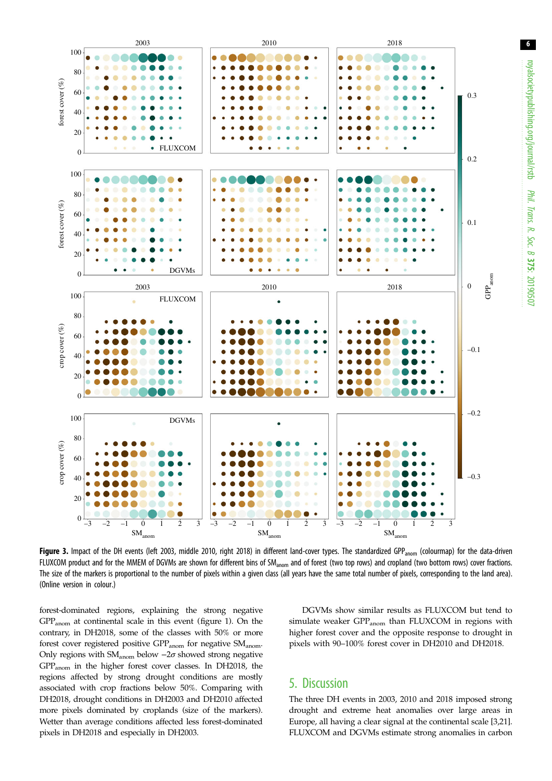<span id="page-5-0"></span>

Figure 3. Impact of the DH events (left 2003, middle 2010, right 2018) in different land-cover types. The standardized GPP<sub>anom</sub> (colourmap) for the data-driven FLUXCOM product and for the MMEM of DGVMs are shown for different bins of SM<sub>anom</sub> and of forest (two top rows) and cropland (two bottom rows) cover fractions. The size of the markers is proportional to the number of pixels within a given class (all years have the same total number of pixels, corresponding to the land area). (Online version in colour.)

forest-dominated regions, explaining the strong negative GPPanom at continental scale in this event ([figure 1\)](#page-3-0). On the contrary, in DH2018, some of the classes with 50% or more forest cover registered positive GPP<sub>anom</sub> for negative SM<sub>anom</sub>. Only regions with SM<sub>anom</sub> below  $-2\sigma$  showed strong negative GPPanom in the higher forest cover classes. In DH2018, the regions affected by strong drought conditions are mostly associated with crop fractions below 50%. Comparing with DH2018, drought conditions in DH2003 and DH2010 affected more pixels dominated by croplands (size of the markers). Wetter than average conditions affected less forest-dominated pixels in DH2018 and especially in DH2003.

DGVMs show similar results as FLUXCOM but tend to simulate weaker GPP<sub>anom</sub> than FLUXCOM in regions with higher forest cover and the opposite response to drought in pixels with 90–100% forest cover in DH2010 and DH2018.

# 5. Discussion

The three DH events in 2003, 2010 and 2018 imposed strong drought and extreme heat anomalies over large areas in Europe, all having a clear signal at the continental scale [\[3,21\]](#page-8-0). FLUXCOM and DGVMs estimate strong anomalies in carbon royalsocietypublishing.org/journal/rstb

Phil. Trans.

 R. Soc. $\sigma$ 

375: 20190507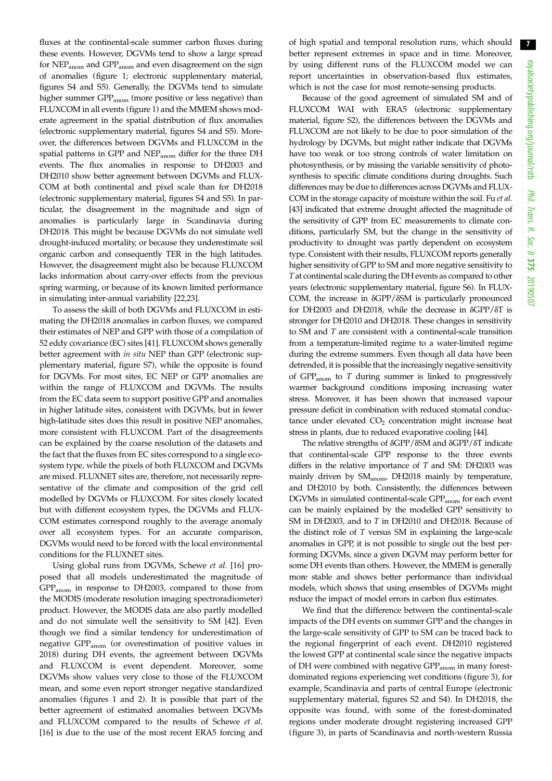7

fluxes at the continental-scale summer carbon fluxes during these events. However, DGVMs tend to show a large spread for NEP<sub>anom</sub> and GPP<sub>anom</sub> and even disagreement on the sign of anomalies ([figure 1](#page-3-0); electronic supplementary material, figures S4 and S5). Generally, the DGVMs tend to simulate higher summer GPP<sub>anom</sub> (more positive or less negative) than FLUXCOM in all events ([figure 1\)](#page-3-0) and the MMEM shows moderate agreement in the spatial distribution of flux anomalies (electronic supplementary material, figures S4 and S5). Moreover, the differences between DGVMs and FLUXCOM in the spatial patterns in GPP and NEPanom differ for the three DH events. The flux anomalies in response to DH2003 and DH2010 show better agreement between DGVMs and FLUX-COM at both continental and pixel scale than for DH2018 (electronic supplementary material, figures S4 and S5). In particular, the disagreement in the magnitude and sign of anomalies is particularly large in Scandinavia during DH2018. This might be because DGVMs do not simulate well drought-induced mortality, or because they underestimate soil organic carbon and consequently TER in the high latitudes. However, the disagreement might also be because FLUXCOM lacks information about carry-over effects from the previous spring warming, or because of its known limited performance in simulating inter-annual variability [[22](#page-8-0),[23](#page-8-0)].

To assess the skill of both DGVMs and FLUXCOM in estimating the DH2018 anomalies in carbon fluxes, we compared their estimates of NEP and GPP with those of a compilation of 52 eddy covariance (EC) sites [[41\]](#page-8-0). FLUXCOM shows generally better agreement with in situ NEP than GPP (electronic supplementary material, figure S7), while the opposite is found for DGVMs. For most sites, EC NEP or GPP anomalies are within the range of FLUXCOM and DGVMs. The results from the EC data seem to support positive GPP and anomalies in higher latitude sites, consistent with DGVMs, but in fewer high-latitude sites does this result in positive NEP anomalies, more consistent with FLUXCOM. Part of the disagreements can be explained by the coarse resolution of the datasets and the fact that the fluxes from EC sites correspond to a single ecosystem type, while the pixels of both FLUXCOM and DGVMs are mixed. FLUXNET sites are, therefore, not necessarily representative of the climate and composition of the grid cell modelled by DGVMs or FLUXCOM. For sites closely located but with different ecosystem types, the DGVMs and FLUX-COM estimates correspond roughly to the average anomaly over all ecosystem types. For an accurate comparison, DGVMs would need to be forced with the local environmental conditions for the FLUXNET sites.

Using global runs from DGVMs, Schewe et al. [[16\]](#page-8-0) proposed that all models underestimated the magnitude of GPPanom in response to DH2003, compared to those from the MODIS (moderate resolution imaging spectroradiometer) product. However, the MODIS data are also partly modelled and do not simulate well the sensitivity to SM [\[42](#page-9-0)]. Even though we find a similar tendency for underestimation of negative GPP<sub>anom</sub> (or overestimation of positive values in 2018) during DH events, the agreement between DGVMs and FLUXCOM is event dependent. Moreover, some DGVMs show values very close to those of the FLUXCOM mean, and some even report stronger negative standardized anomalies (figures [1](#page-3-0) and [2\)](#page-4-0). It is possible that part of the better agreement of estimated anomalies between DGVMs and FLUXCOM compared to the results of Schewe et al. [\[16](#page-8-0)] is due to the use of the most recent ERA5 forcing and

of high spatial and temporal resolution runs, which should better represent extremes in space and in time. Moreover, by using different runs of the FLUXCOM model we can report uncertainties in observation-based flux estimates, which is not the case for most remote-sensing products.

Because of the good agreement of simulated SM and of FLUXCOM WAI with ERA5 (electronic supplementary material, figure S2), the differences between the DGVMs and FLUXCOM are not likely to be due to poor simulation of the hydrology by DGVMs, but might rather indicate that DGVMs have too weak or too strong controls of water limitation on photosynthesis, or by missing the variable sensitivity of photosynthesis to specific climate conditions during droughts. Such differences may be due to differences across DGVMs and FLUX-COM in the storage capacity of moisture within the soil. Fu et al. [[43](#page-9-0)] indicated that extreme drought affected the magnitude of the sensitivity of GPP from EC measurements to climate conditions, particularly SM, but the change in the sensitivity of productivity to drought was partly dependent on ecosystem type. Consistent with their results, FLUXCOM reports generally higher sensitivity of GPP to SM and more negative sensitivity to Tat continental scale during the DH events as compared to other years (electronic supplementary material, figure S6). In FLUX-COM, the increase in δGPP/δSM is particularly pronounced for DH2003 and DH2018, while the decrease in δGPP/δT is stronger for DH2010 and DH2018. These changes in sensitivity to SM and T are consistent with a continental-scale transition from a temperature-limited regime to a water-limited regime during the extreme summers. Even though all data have been detrended, it is possible that the increasingly negative sensitivity of  $GPP<sub>anom</sub>$  to  $T$  during summer is linked to progressively warmer background conditions imposing increasing water stress. Moreover, it has been shown that increased vapour pressure deficit in combination with reduced stomatal conductance under elevated  $CO<sub>2</sub>$  concentration might increase heat stress in plants, due to reduced evaporative cooling [[44](#page-9-0)].

The relative strengths of δGPP/δSM and δGPP/δT indicate that continental-scale GPP response to the three events differs in the relative importance of  $T$  and SM: DH2003 was mainly driven by SM<sub>anom</sub>, DH2018 mainly by temperature, and DH2010 by both. Consistently, the differences between DGVMs in simulated continental-scale GPP<sub>anom</sub> for each event can be mainly explained by the modelled GPP sensitivity to SM in DH2003, and to T in DH2010 and DH2018. Because of the distinct role of T versus SM in explaining the large-scale anomalies in GPP, it is not possible to single out the best performing DGVMs, since a given DGVM may perform better for some DH events than others. However, the MMEM is generally more stable and shows better performance than individual models, which shows that using ensembles of DGVMs might reduce the impact of model errors in carbon flux estimates.

We find that the difference between the continental-scale impacts of the DH events on summer GPP and the changes in the large-scale sensitivity of GPP to SM can be traced back to the regional fingerprint of each event. DH2010 registered the lowest GPP at continental scale since the negative impacts of DH were combined with negative GPP<sub>anom</sub> in many forestdominated regions experiencing wet conditions [\(figure 3](#page-5-0)), for example, Scandinavia and parts of central Europe (electronic supplementary material, figures S2 and S4). In DH2018, the opposite was found, with some of the forest-dominated regions under moderate drought registering increased GPP ([figure 3](#page-5-0)), in parts of Scandinavia and north-western Russia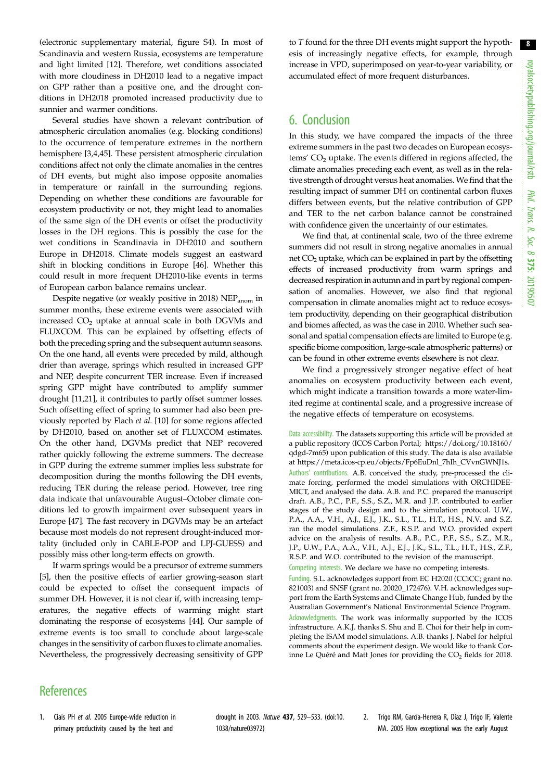<span id="page-7-0"></span>(electronic supplementary material, figure S4). In most of Scandinavia and western Russia, ecosystems are temperature and light limited [\[12](#page-8-0)]. Therefore, wet conditions associated with more cloudiness in DH2010 lead to a negative impact on GPP rather than a positive one, and the drought conditions in DH2018 promoted increased productivity due to sunnier and warmer conditions.

Several studies have shown a relevant contribution of atmospheric circulation anomalies (e.g. blocking conditions) to the occurrence of temperature extremes in the northern hemisphere [\[3](#page-8-0),[4](#page-8-0)[,45](#page-9-0)]. These persistent atmospheric circulation conditions affect not only the climate anomalies in the centres of DH events, but might also impose opposite anomalies in temperature or rainfall in the surrounding regions. Depending on whether these conditions are favourable for ecosystem productivity or not, they might lead to anomalies of the same sign of the DH events or offset the productivity losses in the DH regions. This is possibly the case for the wet conditions in Scandinavia in DH2010 and southern Europe in DH2018. Climate models suggest an eastward shift in blocking conditions in Europe [\[46](#page-9-0)]. Whether this could result in more frequent DH2010-like events in terms of European carbon balance remains unclear.

Despite negative (or weakly positive in 2018) NEP<sub>anom</sub> in summer months, these extreme events were associated with increased CO<sub>2</sub> uptake at annual scale in both DGVMs and FLUXCOM. This can be explained by offsetting effects of both the preceding spring and the subsequent autumn seasons. On the one hand, all events were preceded by mild, although drier than average, springs which resulted in increased GPP and NEP, despite concurrent TER increase. Even if increased spring GPP might have contributed to amplify summer drought [\[11,21](#page-8-0)], it contributes to partly offset summer losses. Such offsetting effect of spring to summer had also been previously reported by Flach et al. [[10\]](#page-8-0) for some regions affected by DH2010, based on another set of FLUXCOM estimates. On the other hand, DGVMs predict that NEP recovered rather quickly following the extreme summers. The decrease in GPP during the extreme summer implies less substrate for decomposition during the months following the DH events, reducing TER during the release period. However, tree ring data indicate that unfavourable August–October climate conditions led to growth impairment over subsequent years in Europe [[47](#page-9-0)]. The fast recovery in DGVMs may be an artefact because most models do not represent drought-induced mortality (included only in CABLE-POP and LPJ-GUESS) and possibly miss other long-term effects on growth.

If warm springs would be a precursor of extreme summers [\[5\]](#page-8-0), then the positive effects of earlier growing-season start could be expected to offset the consequent impacts of summer DH. However, it is not clear if, with increasing temperatures, the negative effects of warming might start dominating the response of ecosystems [[44\]](#page-9-0). Our sample of extreme events is too small to conclude about large-scale changes in the sensitivity of carbon fluxes to climate anomalies. Nevertheless, the progressively decreasing sensitivity of GPP to T found for the three DH events might support the hypothesis of increasingly negative effects, for example, through increase in VPD, superimposed on year-to-year variability, or accumulated effect of more frequent disturbances.

# 6. Conclusion

In this study, we have compared the impacts of the three extreme summers in the past two decades on European ecosystems'  $CO<sub>2</sub>$  uptake. The events differed in regions affected, the climate anomalies preceding each event, as well as in the relative strength of drought versus heat anomalies. We find that the resulting impact of summer DH on continental carbon fluxes differs between events, but the relative contribution of GPP and TER to the net carbon balance cannot be constrained with confidence given the uncertainty of our estimates.

We find that, at continental scale, two of the three extreme summers did not result in strong negative anomalies in annual net CO<sub>2</sub> uptake, which can be explained in part by the offsetting effects of increased productivity from warm springs and decreased respiration in autumn and in part by regional compensation of anomalies. However, we also find that regional compensation in climate anomalies might act to reduce ecosystem productivity, depending on their geographical distribution and biomes affected, as was the case in 2010. Whether such seasonal and spatial compensation effects are limited to Europe (e.g. specific biome composition, large-scale atmospheric patterns) or can be found in other extreme events elsewhere is not clear.

We find a progressively stronger negative effect of heat anomalies on ecosystem productivity between each event, which might indicate a transition towards a more water-limited regime at continental scale, and a progressive increase of the negative effects of temperature on ecosystems.

Data accessibility. The datasets supporting this article will be provided at a public repository (ICOS Carbon Portal; [https://doi.org/10.18160/](https://doi.org/10.18160/qdgd-7m65) [qdgd-7m65\)](https://doi.org/10.18160/qdgd-7m65) upon publication of this study. The data is also available at [https://meta.icos-cp.eu/objects/Fp6EuDnl\\_7hIh\\_CVvnGWNJ1s.](https://meta.icos-cp.eu/objects/Fp6EuDnl_7hIh_CVvnGWNJ1s) Authors' contributions. A.B. conceived the study, pre-processed the climate forcing, performed the model simulations with ORCHIDEE-MICT, and analysed the data. A.B. and P.C. prepared the manuscript draft. A.B., P.C., P.F., S.S., S.Z., M.R. and J.P. contributed to earlier stages of the study design and to the simulation protocol. U.W., P.A., A.A., V.H., A.J., E.J., J.K., S.L., T.L., H.T., H.S., N.V. and S.Z. ran the model simulations. Z.F., R.S.P. and W.O. provided expert advice on the analysis of results. A.B., P.C., P.F., S.S., S.Z., M.R., J.P., U.W., P.A., A.A., V.H., A.J., E.J., J.K., S.L., T.L., H.T., H.S., Z.F., R.S.P. and W.O. contributed to the revision of the manuscript. Competing interests. We declare we have no competing interests.

Funding. S.L. acknowledges support from EC H2020 (CCiCC; grant no. 821003) and SNSF (grant no. 20020\_172476). V.H. acknowledges support from the Earth Systems and Climate Change Hub, funded by the Australian Government's National Environmental Science Program. Acknowledgments. The work was informally supported by the ICOS infrastructure. A.K.J. thanks S. Shu and E. Choi for their help in completing the ISAM model simulations. A.B. thanks J. Nabel for helpful comments about the experiment design. We would like to thank Corinne Le Quéré and Matt Jones for providing the  $CO<sub>2</sub>$  fields for 2018.

# **References**

1. Ciais PH et al. 2005 Europe-wide reduction in primary productivity caused by the heat and

drought in 2003. Nature 437, 529–533. ([doi:10.](http://dx.doi.org/10.1038/nature03972) [1038/nature03972](http://dx.doi.org/10.1038/nature03972))

2. Trigo RM, García-Herrera R, Díaz J, Trigo IF, Valente MA. 2005 How exceptional was the early August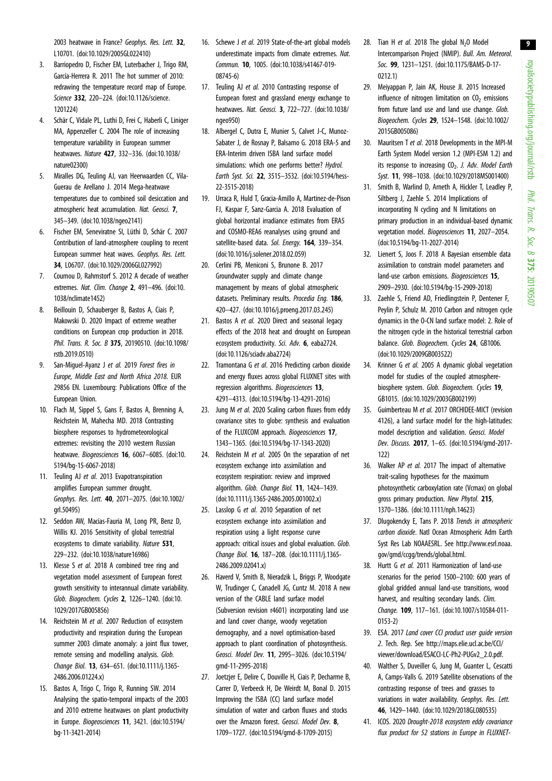9

<span id="page-8-0"></span>2003 heatwave in France? Geophys. Res. Lett. 32, L10701. [\(doi:10.1029/2005GL022410](http://dx.doi.org/10.1029/2005GL022410))

- 3. Barriopedro D, Fischer EM, Luterbacher J, Trigo RM, García-Herrera R. 2011 The hot summer of 2010: redrawing the temperature record map of Europe. Science 332, 220-224. ([doi:10.1126/science.](http://dx.doi.org/10.1126/science.1201224) [1201224\)](http://dx.doi.org/10.1126/science.1201224)
- 4. Schär C, Vidale PL, Luthi D, Frei C, Haberli C, Liniger MA, Appenzeller C. 2004 The role of increasing temperature variability in European summer heatwaves. Nature 427, 332–336. ([doi:10.1038/](http://dx.doi.org/10.1038/nature02300) [nature02300](http://dx.doi.org/10.1038/nature02300))
- 5. Miralles DG, Teuling AJ, van Heerwaarden CC, Vila-Guerau de Arellano J. 2014 Mega-heatwave temperatures due to combined soil desiccation and atmospheric heat accumulation. Nat. Geosci. 7, 345–349. ([doi:10.1038/ngeo2141](http://dx.doi.org/10.1038/ngeo2141))
- 6. Fischer EM, Seneviratne SI, Lüthi D, Schär C. 2007 Contribution of land-atmosphere coupling to recent European summer heat waves. Geophys. Res. Lett. 34, L06707. [\(doi:10.1029/2006GL027992](http://dx.doi.org/10.1029/2006GL027992))
- 7. Coumou D, Rahmstorf S. 2012 A decade of weather extremes. Nat. Clim. Change 2, 491–496. ([doi:10.](http://dx.doi.org/10.1038/nclimate1452) [1038/nclimate1452\)](http://dx.doi.org/10.1038/nclimate1452)
- 8. Beillouin D, Schauberger B, Bastos A, Ciais P, Makowski D. 2020 Impact of extreme weather conditions on European crop production in 2018. Phil. Trans. R. Soc. B 375, 20190510. ([doi:10.1098/](http://dx.doi.org/10.1098/rstb.2019.0510) [rstb.2019.0510\)](http://dx.doi.org/10.1098/rstb.2019.0510)
- 9. San-Miguel-Ayanz J et al. 2019 Forest fires in Europe, Middle East and North Africa 2018. EUR 29856 EN. Luxembourg: Publications Office of the European Union.
- 10. Flach M, Sippel S, Gans F, Bastos A, Brenning A, Reichstein M, Mahecha MD. 2018 Contrasting biosphere responses to hydrometeorological extremes: revisiting the 2010 western Russian heatwave. Biogeosciences 16, 6067–6085. ([doi:10.](http://dx.doi.org/10.5194/bg-15-6067-2018) [5194/bg-15-6067-2018](http://dx.doi.org/10.5194/bg-15-6067-2018))
- 11. Teuling AJ et al. 2013 Evapotranspiration amplifies European summer drought. Geophys. Res. Lett. 40, 2071–2075. [\(doi:10.1002/](http://dx.doi.org/10.1002/grl.50495) [grl.50495](http://dx.doi.org/10.1002/grl.50495))
- 12. Seddon AW, Macias-Fauria M, Long PR, Benz D, Willis KJ. 2016 Sensitivity of global terrestrial ecosystems to climate variability. Nature 531, 229–232. ([doi:10.1038/nature16986\)](http://dx.doi.org/10.1038/nature16986)
- 13. Klesse S et al. 2018 A combined tree ring and vegetation model assessment of European forest growth sensitivity to interannual climate variability. Glob. Biogeochem. Cycles 2, 1226–1240. ([doi:10.](http://dx.doi.org/10.1029/2017GB005856) [1029/2017GB005856](http://dx.doi.org/10.1029/2017GB005856))
- 14. Reichstein M et al. 2007 Reduction of ecosystem productivity and respiration during the European summer 2003 climate anomaly: a joint flux tower, remote sensing and modelling analysis. Glob. Change Biol. 13, 634–651. ([doi:10.1111/j.1365-](http://dx.doi.org/10.1111/j.1365-2486.2006.01224.x) [2486.2006.01224.x](http://dx.doi.org/10.1111/j.1365-2486.2006.01224.x))
- 15. Bastos A, Trigo C, Trigo R, Running SW. 2014 Analysing the spatio-temporal impacts of the 2003 and 2010 extreme heatwaves on plant productivity in Europe. Biogeosciences 11, 3421. ([doi:10.5194/](http://dx.doi.org/10.5194/bg-11-3421-2014) [bg-11-3421-2014](http://dx.doi.org/10.5194/bg-11-3421-2014))
- 16. Schewe J et al. 2019 State-of-the-art global models underestimate impacts from climate extremes. Nat. Commun. 10, 1005. ([doi:10.1038/s41467-019-](http://dx.doi.org/10.1038/s41467-019-08745-6) [08745-6\)](http://dx.doi.org/10.1038/s41467-019-08745-6)
- 17. Teuling AJ et al. 2010 Contrasting response of European forest and grassland energy exchange to heatwaves. Nat. Geosci. 3, 722–727. ([doi:10.1038/](http://dx.doi.org/10.1038/ngeo950) [ngeo950\)](http://dx.doi.org/10.1038/ngeo950)
- 18. Albergel C, Dutra E, Munier S, Calvet J-C, Munoz-Sabater J, de Rosnay P, Balsamo G. 2018 ERA-5 and ERA-Interim driven ISBA land surface model simulations: which one performs better? Hydrol. Earth Syst. Sci. 22, 3515–3532. ([doi:10.5194/hess-](http://dx.doi.org/10.5194/hess-22-3515-2018)[22-3515-2018\)](http://dx.doi.org/10.5194/hess-22-3515-2018)
- 19. Urraca R, Huld T, Gracia-Amillo A, Martinez-de-Pison FJ, Kaspar F, Sanz-Garcia A. 2018 Evaluation of global horizontal irradiance estimates from ERA5 and COSMO-REA6 reanalyses using ground and satellite-based data. Sol. Energy. 164, 339-354. [\(doi:10.1016/j.solener.2018.02.059](http://dx.doi.org/10.1016/j.solener.2018.02.059))
- 20. Cerlini PB, Meniconi S, Brunone B. 2017 Groundwater supply and climate change management by means of global atmospheric datasets. Preliminary results. Procedia Eng. 186, 420–427. ([doi:10.1016/j.proeng.2017.03.245](http://dx.doi.org/10.1016/j.proeng.2017.03.245))
- 21. Bastos A et al. 2020 Direct and seasonal legacy effects of the 2018 heat and drought on European ecosystem productivity. Sci. Adv. 6, eaba2724. [\(doi:10.1126/sciadv.aba2724](http://dx.doi.org/10.1126/sciadv.aba2724))
- 22. Tramontana G et al. 2016 Predicting carbon dioxide and energy fluxes across global FLUXNET sites with regression algorithms. Biogeosciences 13, 4291–4313. [\(doi:10.5194/bg-13-4291-2016](http://dx.doi.org/10.5194/bg-13-4291-2016))
- 23. Jung M et al. 2020 Scaling carbon fluxes from eddy covariance sites to globe: synthesis and evaluation of the FLUXCOM approach. Biogeosciences 17, 1343–1365. [\(doi:10.5194/bg-17-1343-2020](http://dx.doi.org/10.5194/bg-17-1343-2020))
- 24. Reichstein M et al. 2005 On the separation of net ecosystem exchange into assimilation and ecosystem respiration: review and improved algorithm. Glob. Change Biol. 11, 1424-1439. [\(doi:10.1111/j.1365-2486.2005.001002.x](http://dx.doi.org/10.1111/j.1365-2486.2005.001002.x))
- 25. Lasslop G et al. 2010 Separation of net ecosystem exchange into assimilation and respiration using a light response curve approach: critical issues and global evaluation. Glob. Change Biol. 16, 187–208. [\(doi:10.1111/j.1365-](http://dx.doi.org/10.1111/j.1365-2486.2009.02041.x) [2486.2009.02041.x\)](http://dx.doi.org/10.1111/j.1365-2486.2009.02041.x)
- 26. Haverd V, Smith B, Nieradzik L, Briggs P, Woodgate W, Trudinger C, Canadell JG, Cuntz M. 2018 A new version of the CABLE land surface model (Subversion revision r4601) incorporating land use and land cover change, woody vegetation demography, and a novel optimisation-based approach to plant coordination of photosynthesis. Geosci. Model Dev. 11, 2995–3026. ([doi:10.5194/](http://dx.doi.org/10.5194/gmd-11-2995-2018) [gmd-11-2995-2018\)](http://dx.doi.org/10.5194/gmd-11-2995-2018)
- 27. Joetzjer E, Delire C, Douville H, Ciais P, Decharme B, Carrer D, Verbeeck H, De Weirdt M, Bonal D. 2015 Improving the ISBA (CC) land surface model simulation of water and carbon fluxes and stocks over the Amazon forest. Geosci. Model Dev. 8, 1709–1727. [\(doi:10.5194/gmd-8-1709-2015](http://dx.doi.org/10.5194/gmd-8-1709-2015))
- 28. Tian H et al. 2018 The global  $N_2$ O Model Intercomparison Project (NMIP). Bull. Am. Meteorol. Soc. 99, 1231–1251. ([doi:10.1175/BAMS-D-17-](http://dx.doi.org/10.1175/BAMS-D-17-0212.1) [0212.1](http://dx.doi.org/10.1175/BAMS-D-17-0212.1))
- 29. Meiyappan P, Jain AK, House JI. 2015 Increased influence of nitrogen limitation on  $CO<sub>2</sub>$  emissions from future land use and land use change. Glob. Biogeochem. Cycles 29, 1524–1548. [\(doi:10.1002/](http://dx.doi.org/10.1002/2015GB005086) [2015GB005086\)](http://dx.doi.org/10.1002/2015GB005086)
- 30. Mauritsen T et al. 2018 Developments in the MPI-M Earth System Model version 1.2 (MPI-ESM 1.2) and its response to increasing  $CO<sub>2</sub>$ . J. Adv. Model Earth Syst. 11, 998–1038. ([doi:10.1029/2018MS001400\)](http://dx.doi.org/10.1029/2018MS001400)
- 31. Smith B, Warlind D, Arneth A, Hickler T, Leadley P, Siltberg J, Zaehle S. 2014 Implications of incorporating N cycling and N limitations on primary production in an individual-based dynamic vegetation model. Biogeosciences 11, 2027–2054. ([doi:10.5194/bg-11-2027-2014\)](http://dx.doi.org/10.5194/bg-11-2027-2014)
- 32. Lienert S, Joos F. 2018 A Bayesian ensemble data assimilation to constrain model parameters and land-use carbon emissions. Biogeosciences 15, 2909–2930. [\(doi:10.5194/bg-15-2909-2018\)](http://dx.doi.org/10.5194/bg-15-2909-2018)
- 33. Zaehle S, Friend AD, Friedlingstein P, Dentener F, Peylin P, Schulz M. 2010 Carbon and nitrogen cycle dynamics in the O-CN land surface model: 2. Role of the nitrogen cycle in the historical terrestrial carbon balance. Glob. Biogeochem. Cycles 24, GB1006. ([doi:10.1029/2009GB003522\)](http://dx.doi.org/10.1029/2009GB003522)
- 34. Krinner G et al. 2005 A dynamic global vegetation model for studies of the coupled atmospherebiosphere system. Glob. Biogeochem. Cycles 19, GB1015. ([doi:10.1029/2003GB002199](http://dx.doi.org/10.1029/2003GB002199))
- 35. Guimberteau M et al. 2017 ORCHIDEE-MICT (revision 4126), a land surface model for the high-latitudes: model description and validation. Geosci. Model Dev. Discuss. 2017, 1–65. [\(doi:10.5194/gmd-2017-](http://dx.doi.org/10.5194/gmd-2017-122) [122\)](http://dx.doi.org/10.5194/gmd-2017-122)
- 36. Walker AP et al. 2017 The impact of alternative trait-scaling hypotheses for the maximum photosynthetic carboxylation rate (Vcmax) on global gross primary production. New Phytol. 215, 1370–1386. [\(doi:10.1111/nph.14623\)](http://dx.doi.org/10.1111/nph.14623)
- 37. Dlugokencky E, Tans P. 2018 Trends in atmospheric carbon dioxide. Natl Ocean Atmospheric Adm Earth Syst Res Lab NOAAESRL. See [http://www.esrl.noaa.](http://www.esrl.noaa.gov/gmd/ccgg/trends/global.html) [gov/gmd/ccgg/trends/global.html](http://www.esrl.noaa.gov/gmd/ccgg/trends/global.html).
- 38. Hurtt G et al. 2011 Harmonization of land-use scenarios for the period 1500–2100: 600 years of global gridded annual land-use transitions, wood harvest, and resulting secondary lands. Clim. Change. 109, 117–161. ([doi:10.1007/s10584-011-](http://dx.doi.org/10.1007/s10584-011-0153-2) [0153-2](http://dx.doi.org/10.1007/s10584-011-0153-2))
- 39. ESA. 2017 Land cover CCI product user guide version 2. Tech. Rep. See [http://maps.elie.ucl.ac.be/CCI/](http://maps.elie.ucl.ac.be/CCI/viewer/download/ESACCI-LC-Ph2-PUGv2_2.0.pdf) [viewer/download/ESACCI-LC-Ph2-PUGv2\\_2.0.pdf](http://maps.elie.ucl.ac.be/CCI/viewer/download/ESACCI-LC-Ph2-PUGv2_2.0.pdf).
- 40. Walther S, Duveiller G, Jung M, Guanter L, Cescatti A, Camps-Valls G. 2019 Satellite observations of the contrasting response of trees and grasses to variations in water availability. Geophys. Res. Lett. 46, 1429–1440. [\(doi:10.1029/2018GL080535\)](http://dx.doi.org/10.1029/2018GL080535)
- 41. ICOS. 2020 Drought-2018 ecosystem eddy covariance flux product for 52 stations in Europe in FLUXNET-